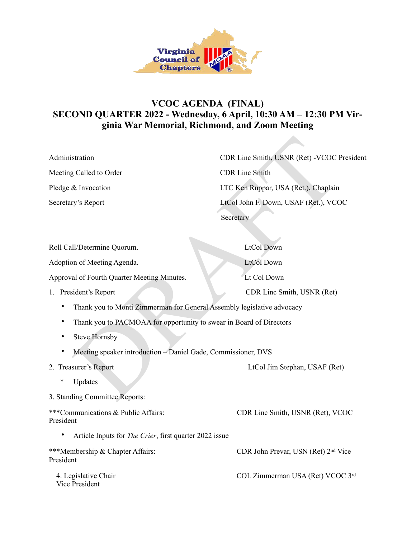

## **VCOC AGENDA (FINAL) SECOND QUARTER 2022 - Wednesday, 6 April, 10:30 AM – 12:30 PM Virginia War Memorial, Richmond, and Zoom Meeting**

| Administration          | CDR Linc Smith, USNR (Ret) - VCOC President        |
|-------------------------|----------------------------------------------------|
| Meeting Called to Order | <b>CDR</b> Line Smith                              |
| Pledge & Invocation     | LTC Ken Ruppar, USA (Ret.), Chaplain               |
| Secretary's Report      | LtCol John F. Down, USAF (Ret.), VCOC<br>Secretary |

| Administration                                                         | CDR Linc Smith, USNR (Ret) -VCOC Presid |
|------------------------------------------------------------------------|-----------------------------------------|
| Meeting Called to Order                                                | <b>CDR Linc Smith</b>                   |
| Pledge & Invocation                                                    | LTC Ken Ruppar, USA (Ret.), Chaplain    |
| Secretary's Report                                                     | LtCol John F. Down, USAF (Ret.), VCOC   |
|                                                                        | Secretary                               |
|                                                                        |                                         |
| Roll Call/Determine Quorum.                                            | <b>LtCol Down</b>                       |
| Adoption of Meeting Agenda.                                            | <b>LtCol Down</b>                       |
| Approval of Fourth Quarter Meeting Minutes.                            | Lt Col Down                             |
| 1. President's Report                                                  | CDR Linc Smith, USNR (Ret)              |
| Thank you to Monti Zimmerman for General Assembly legislative advocacy |                                         |
| Thank you to PACMOAA for opportunity to swear in Board of Directors    |                                         |
| <b>Steve Hornsby</b>                                                   |                                         |
| Meeting speaker introduction - Daniel Gade, Commissioner, DVS          |                                         |
| 2. Treasurer's Report                                                  | LtCol Jim Stephan, USAF (Ret)           |
| *<br>Updates                                                           |                                         |
| 3. Standing Committee Reports:                                         |                                         |
| ***Communications & Public Affairs:<br>President                       | CDR Linc Smith, USNR (Ret), VCOC        |
| Article Inputs for The Crier, first quarter 2022 issue                 |                                         |
| ***Membership & Chapter Affairs:<br>President                          | CDR John Prevar, USN (Ret) 2nd Vice     |
| 4. Legislative Chair<br><b>Vice President</b>                          | COL Zimmerman USA (Ret) VCOC 3rd        |